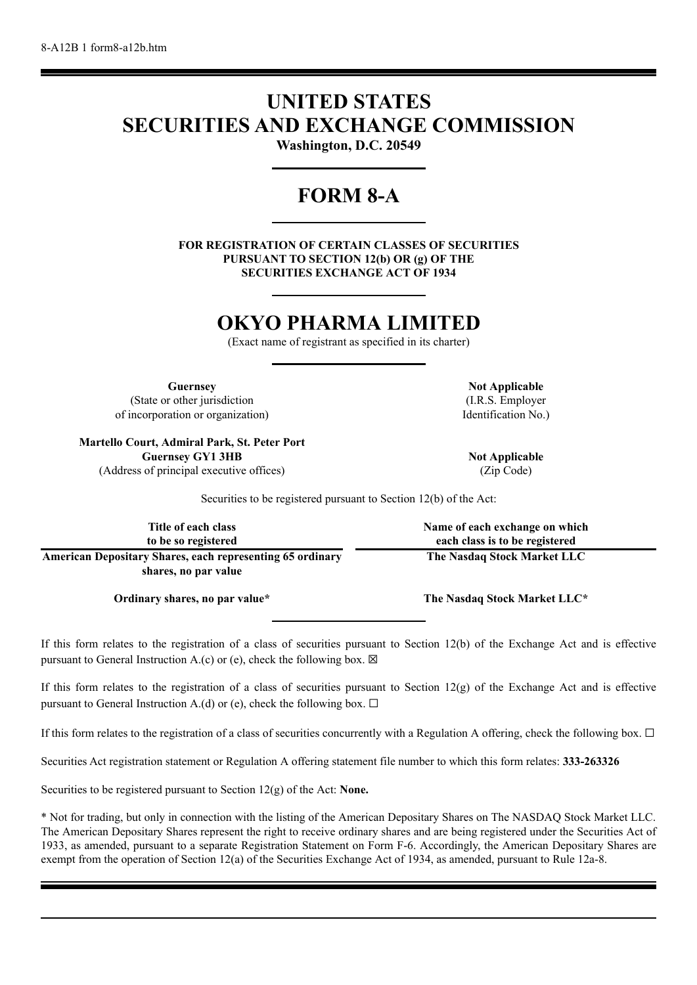# **UNITED STATES SECURITIES AND EXCHANGE COMMISSION**

**Washington, D.C. 20549**

# **FORM 8-A**

**FOR REGISTRATION OF CERTAIN CLASSES OF SECURITIES PURSUANT TO SECTION 12(b) OR (g) OF THE SECURITIES EXCHANGE ACT OF 1934**

# **OKYO PHARMA LIMITED**

(Exact name of registrant as specified in its charter)

**Guernsey Not Applicable** (State or other jurisdiction of incorporation or organization)

**Martello Court, Admiral Park, St. Peter Port Guernsey GY1 3HB Not Applicable** (Address of principal executive offices) (Zip Code)

(I.R.S. Employer Identification No.)

Securities to be registered pursuant to Section 12(b) of the Act:

| Title of each class                                              | Name of each exchange on which |
|------------------------------------------------------------------|--------------------------------|
| to be so registered                                              | each class is to be registered |
| <b>American Depositary Shares, each representing 65 ordinary</b> | The Nasdaq Stock Market LLC    |
| shares, no par value                                             |                                |

If this form relates to the registration of a class of securities pursuant to Section 12(b) of the Exchange Act and is effective pursuant to General Instruction A.(c) or (e), check the following box.  $\boxtimes$ 

If this form relates to the registration of a class of securities pursuant to Section  $12(g)$  of the Exchange Act and is effective pursuant to General Instruction A.(d) or (e), check the following box.  $\Box$ 

If this form relates to the registration of a class of securities concurrently with a Regulation A offering, check the following box.  $\Box$ 

Securities Act registration statement or Regulation A offering statement file number to which this form relates: **333-263326**

Securities to be registered pursuant to Section 12(g) of the Act: **None.**

\* Not for trading, but only in connection with the listing of the American Depositary Shares on The NASDAQ Stock Market LLC. The American Depositary Shares represent the right to receive ordinary shares and are being registered under the Securities Act of 1933, as amended, pursuant to a separate Registration Statement on Form F-6. Accordingly, the American Depositary Shares are exempt from the operation of Section 12(a) of the Securities Exchange Act of 1934, as amended, pursuant to Rule 12a-8.

**Ordinary shares, no par value\* The Nasdaq Stock Market LLC\***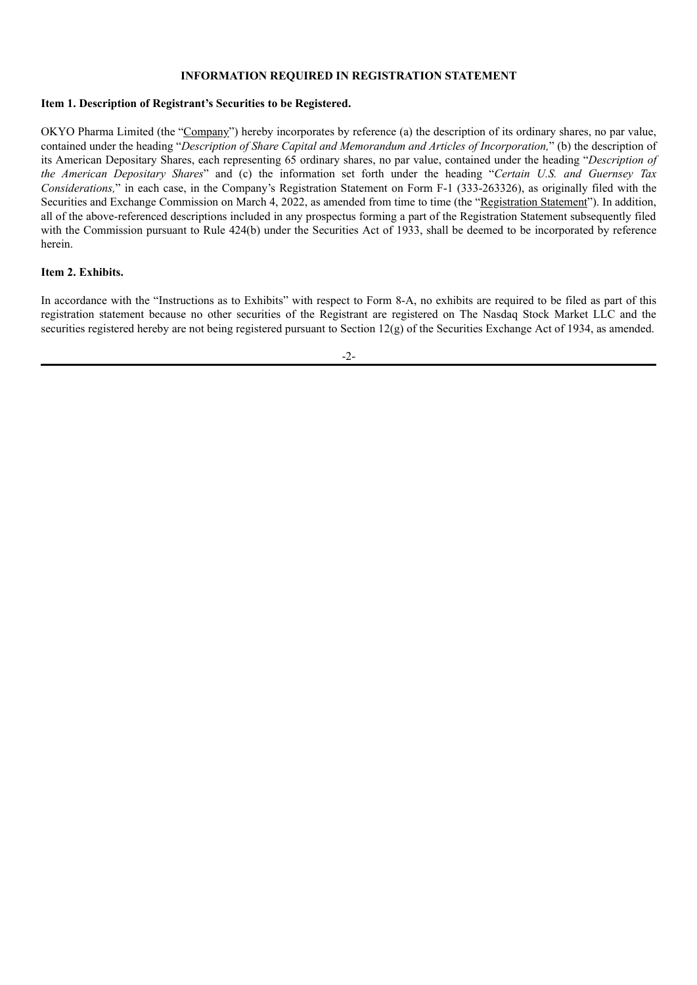### **INFORMATION REQUIRED IN REGISTRATION STATEMENT**

#### **Item 1. Description of Registrant's Securities to be Registered.**

OKYO Pharma Limited (the "Company") hereby incorporates by reference (a) the description of its ordinary shares, no par value, contained under the heading "*Description of Share Capital and Memorandum and Articles of Incorporation,*" (b) the description of its American Depositary Shares, each representing 65 ordinary shares, no par value, contained under the heading "*Description of the American Depositary Shares*" and (c) the information set forth under the heading "*Certain U.S. and Guernsey Tax Considerations,*" in each case, in the Company's Registration Statement on Form F-1 (333-263326), as originally filed with the Securities and Exchange Commission on March 4, 2022, as amended from time to time (the "Registration Statement"). In addition, all of the above-referenced descriptions included in any prospectus forming a part of the Registration Statement subsequently filed with the Commission pursuant to Rule 424(b) under the Securities Act of 1933, shall be deemed to be incorporated by reference herein.

#### **Item 2. Exhibits.**

In accordance with the "Instructions as to Exhibits" with respect to Form 8-A, no exhibits are required to be filed as part of this registration statement because no other securities of the Registrant are registered on The Nasdaq Stock Market LLC and the securities registered hereby are not being registered pursuant to Section  $12(g)$  of the Securities Exchange Act of 1934, as amended.

-2-